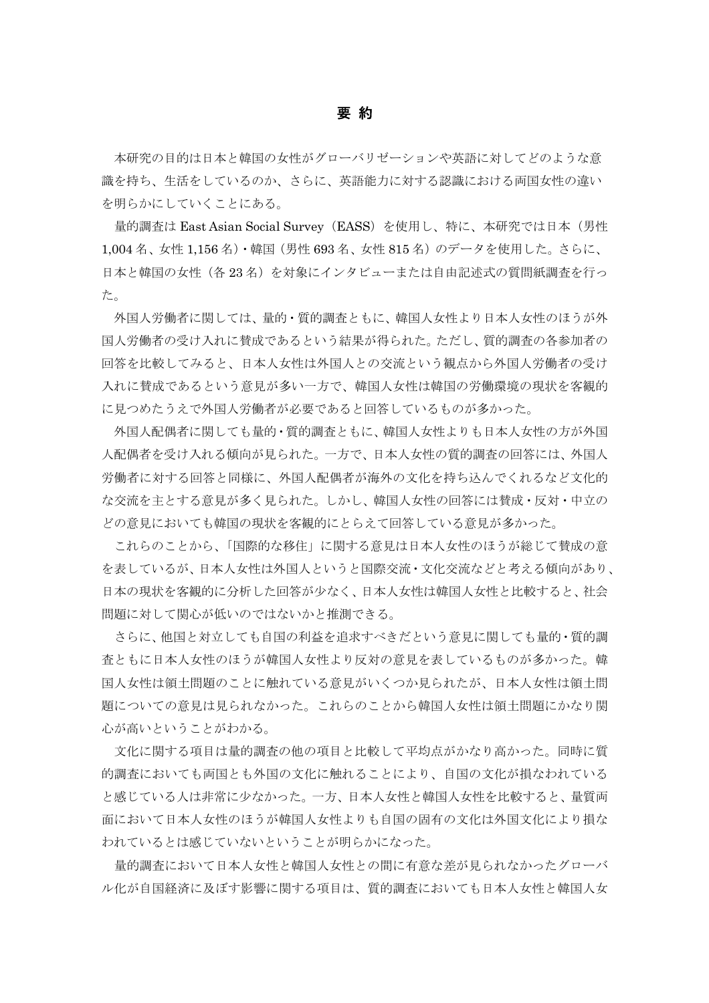## 要 約

本研究の目的は日本と韓国の女性がグローバリゼーションや英語に対してどのような意 識を持ち、生活をしているのか、さらに、英語能力に対する認識における両国女性の違い を明らかにしていくことにある。

量的調査は East Asian Social Survey (EASS) を使用し、特に、本研究では日本(男性 1,004 名、女性 1,156 名)・韓国(男性 693 名、女性 815 名)のデータを使用した。さらに、 日本と韓国の女性(各 23名)を対象にインタビューまたは自由記述式の質問紙調査を行っ た。

外国人労働者に関しては、量的・質的調査ともに、韓国人女性より日本人女性のほうが外 国人労働者の受け入れに賛成であるという結果が得られた。ただし、質的調査の各参加者の 回答を比較してみると、日本人女性は外国人との交流という観点から外国人労働者の受け 入れに賛成であるという意見が多い一方で、韓国人女性は韓国の労働環境の現状を客観的 に見つめたうえで外国人労働者が必要であると回答しているものが多かった。

外国人配偶者に関しても量的・質的調査ともに、韓国人女性よりも日本人女性の方が外国 人配偶者を受け入れる傾向が見られた。一方で、日本人女性の質的調査の回答には、外国人 労働者に対する回答と同様に、外国人配偶者が海外の文化を持ち込んでくれるなど文化的 な交流を主とする意見が多く見られた。しかし、韓国人女性の回答には賛成・反対・中立の どの意見においても韓国の現状を客観的にとらえて回答している意見が多かった。

これらのことから、「国際的な移住」に関する意見は日本人女性のほうが総じて賛成の意 を表しているが、日本人女性は外国人というと国際交流・文化交流などと考える傾向があり、 日本の現状を客観的に分析した回答が少なく、日本人女性は韓国人女性と比較すると、社会 問題に対して関心が低いのではないかと推測できる。

さらに、他国と対立しても自国の利益を追求すべきだという意見に関しても量的・質的調 査ともに日本人女性のほうが韓国人女性より反対の意見を表しているものが多かった。韓 国人女性は領土問題のことに触れている意見がいくつか見られたが、日本人女性は領土問 題についての意見は見られなかった。これらのことから韓国人女性は領土問題にかなり関 心が高いということがわかる。

文化に関する項目は量的調査の他の項目と比較して平均点がかなり高かった。同時に質 的調査においても両国とも外国の文化に触れることにより、自国の文化が損なわれている と感じている人は非常に少なかった。一方、日本人女性と韓国人女性を比較すると、量質両 面において日本人女性のほうが韓国人女性よりも自国の固有の文化は外国文化により損な われているとは感じていないということが明らかになった。

 量的調査において日本人女性と韓国人女性との間に有意な差が見られなかったグローバ ル化が自国経済に及ぼす影響に関する項目は、質的調査においても日本人女性と韓国人女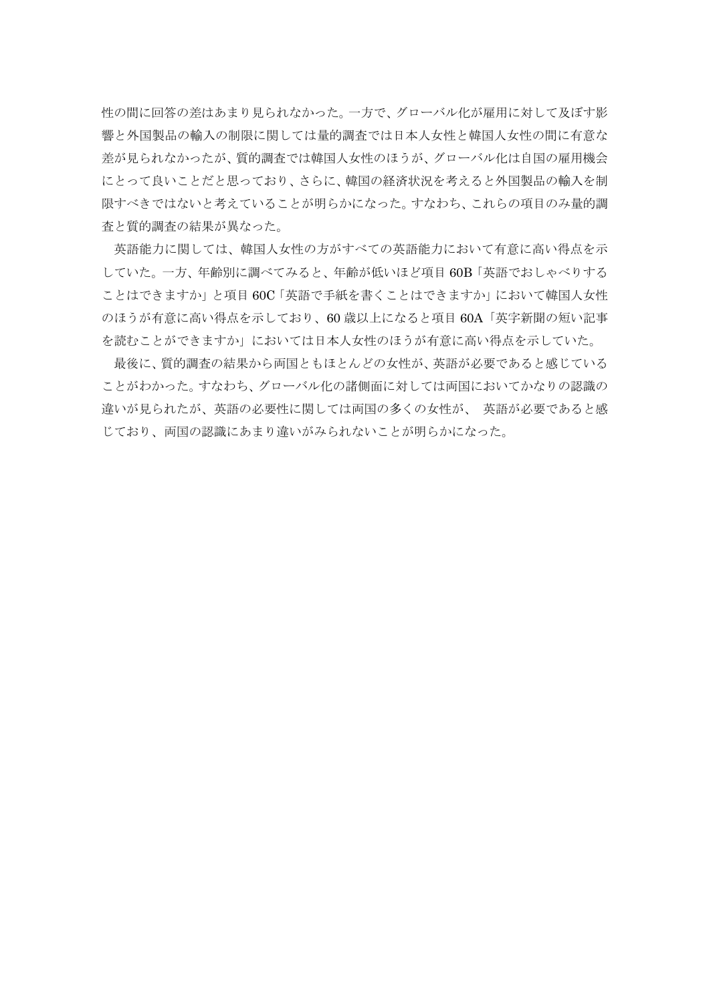性の間に回答の差はあまり見られなかった。一方で、グローバル化が雇用に対して及ぼす影 響と外国製品の輸入の制限に関しては量的調査では日本人女性と韓国人女性の間に有意な 差が見られなかったが、質的調査では韓国人女性のほうが、グローバル化は自国の雇用機会 にとって良いことだと思っており、さらに、韓国の経済状況を考えると外国製品の輸入を制 限すべきではないと考えていることが明らかになった。すなわち、これらの項目のみ量的調 査と質的調査の結果が異なった。

英語能力に関しては、韓国人女性の方がすべての英語能力において有意に高い得点を示 していた。一方、年齢別に調べてみると、年齢が低いほど項目 60B「英語でおしゃべりする ことはできますか」と項目 60C「英語で手紙を書くことはできますか」において韓国人女性 のほうが有意に高い得点を示しており、60 歳以上になると項目 60A「英字新聞の短い記事 を読むことができますか」においては日本人女性のほうが有意に高い得点を示していた。

最後に、質的調査の結果から両国ともほとんどの女性が、英語が必要であると感じている ことがわかった。すなわち、グローバル化の諸側面に対しては両国においてかなりの認識の 違いが見られたが、英語の必要性に関しては両国の多くの女性が、 英語が必要であると感 じており、両国の認識にあまり違いがみられないことが明らかになった。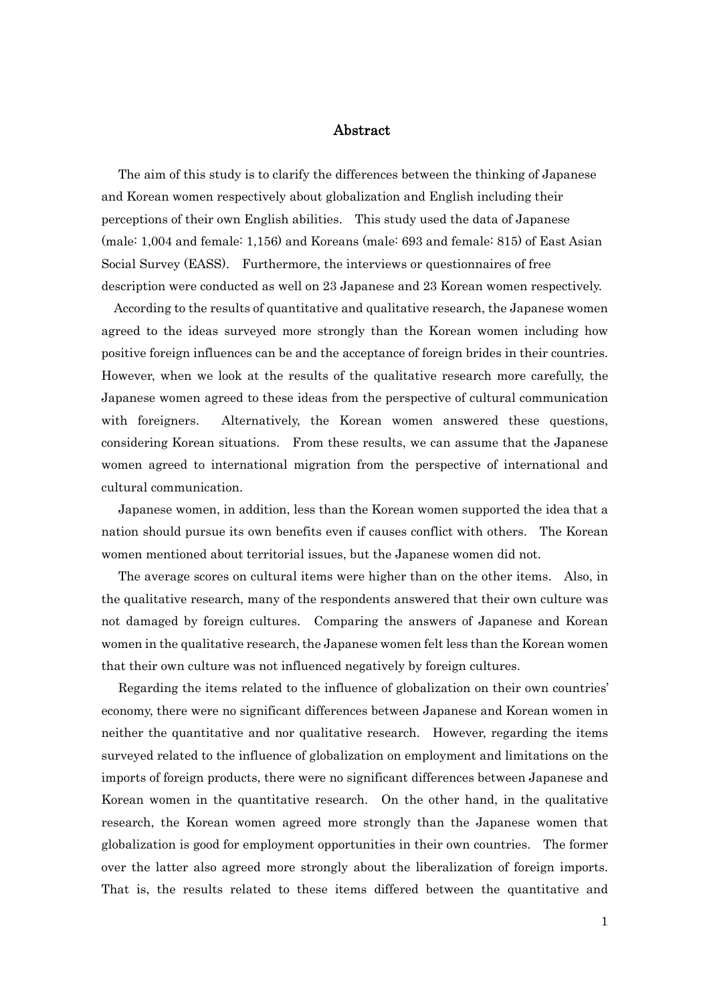## Abstract

The aim of this study is to clarify the differences between the thinking of Japanese and Korean women respectively about globalization and English including their perceptions of their own English abilities. This study used the data of Japanese (male: 1,004 and female: 1,156) and Koreans (male: 693 and female: 815) of East Asian Social Survey (EASS). Furthermore, the interviews or questionnaires of free description were conducted as well on 23 Japanese and 23 Korean women respectively.

According to the results of quantitative and qualitative research, the Japanese women agreed to the ideas surveyed more strongly than the Korean women including how positive foreign influences can be and the acceptance of foreign brides in their countries. However, when we look at the results of the qualitative research more carefully, the Japanese women agreed to these ideas from the perspective of cultural communication with foreigners. Alternatively, the Korean women answered these questions, considering Korean situations. From these results, we can assume that the Japanese women agreed to international migration from the perspective of international and cultural communication.

Japanese women, in addition, less than the Korean women supported the idea that a nation should pursue its own benefits even if causes conflict with others. The Korean women mentioned about territorial issues, but the Japanese women did not.

The average scores on cultural items were higher than on the other items. Also, in the qualitative research, many of the respondents answered that their own culture was not damaged by foreign cultures. Comparing the answers of Japanese and Korean women in the qualitative research, the Japanese women felt less than the Korean women that their own culture was not influenced negatively by foreign cultures.

Regarding the items related to the influence of globalization on their own countries' economy, there were no significant differences between Japanese and Korean women in neither the quantitative and nor qualitative research. However, regarding the items surveyed related to the influence of globalization on employment and limitations on the imports of foreign products, there were no significant differences between Japanese and Korean women in the quantitative research. On the other hand, in the qualitative research, the Korean women agreed more strongly than the Japanese women that globalization is good for employment opportunities in their own countries. The former over the latter also agreed more strongly about the liberalization of foreign imports. That is, the results related to these items differed between the quantitative and